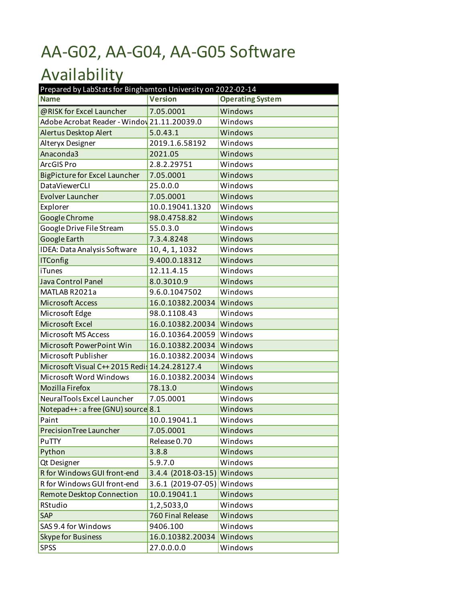## AA-G02, AA-G04, AA-G05 Software

## Availability

| Prepared by LabStats for Binghamton University on 2022-02-14 |                      |                         |  |
|--------------------------------------------------------------|----------------------|-------------------------|--|
| <b>Name</b>                                                  | <b>Version</b>       | <b>Operating System</b> |  |
| @RISK for Excel Launcher                                     | 7.05.0001            | Windows                 |  |
| Adobe Acrobat Reader - Windov 21.11.20039.0                  |                      | Windows                 |  |
| Alertus Desktop Alert                                        | 5.0.43.1             | Windows                 |  |
| Alteryx Designer                                             | 2019.1.6.58192       | Windows                 |  |
| Anaconda3                                                    | 2021.05              | Windows                 |  |
| ArcGIS Pro                                                   | 2.8.2.29751          | Windows                 |  |
| <b>BigPicture for Excel Launcher</b>                         | 7.05.0001            | Windows                 |  |
| <b>DataViewerCLI</b>                                         | 25.0.0.0             | Windows                 |  |
| <b>Evolver Launcher</b>                                      | 7.05.0001            | Windows                 |  |
| Explorer                                                     | 10.0.19041.1320      | Windows                 |  |
| Google Chrome                                                | 98.0.4758.82         | Windows                 |  |
| Google Drive File Stream                                     | 55.0.3.0             | Windows                 |  |
| <b>Google Earth</b>                                          | 7.3.4.8248           | Windows                 |  |
| IDEA: Data Analysis Software                                 | 10, 4, 1, 1032       | Windows                 |  |
| <b>ITConfig</b>                                              | 9.400.0.18312        | Windows                 |  |
| iTunes                                                       | 12.11.4.15           | Windows                 |  |
| Java Control Panel                                           | 8.0.3010.9           | Windows                 |  |
| MATLAB R2021a                                                | 9.6.0.1047502        | Windows                 |  |
| <b>Microsoft Access</b>                                      | 16.0.10382.20034     | Windows                 |  |
| Microsoft Edge                                               | 98.0.1108.43         | Windows                 |  |
| Microsoft Excel                                              | 16.0.10382.20034     | Windows                 |  |
| Microsoft MS Access                                          | 16.0.10364.20059     | Windows                 |  |
| Microsoft PowerPoint Win                                     | 16.0.10382.20034     | Windows                 |  |
| Microsoft Publisher                                          | 16.0.10382.20034     | Windows                 |  |
| Microsoft Visual C++ 2015 Redis 14.24.28127.4                |                      | Windows                 |  |
| Microsoft Word Windows                                       | 16.0.10382.20034     | Windows                 |  |
| <b>Mozilla Firefox</b>                                       | 78.13.0              | Windows                 |  |
| NeuralTools Excel Launcher                                   | 7.05.0001            | Windows                 |  |
| Notepad++: a free (GNU) source 8.1                           |                      | Windows                 |  |
| Paint                                                        | 10.0.19041.1         | Windows                 |  |
| PrecisionTree Launcher                                       | 7.05.0001            | Windows                 |  |
| PuTTY                                                        | Release 0.70         | Windows                 |  |
| Python                                                       | 3.8.8                | Windows                 |  |
| Qt Designer                                                  | 5.9.7.0              | Windows                 |  |
| R for Windows GUI front-end                                  | $3.4.4$ (2018-03-15) | Windows                 |  |
| R for Windows GUI front-end                                  | $3.6.1$ (2019-07-05) | Windows                 |  |
| <b>Remote Desktop Connection</b>                             | 10.0.19041.1         | Windows                 |  |
| RStudio                                                      | 1,2,5033,0           | Windows                 |  |
| SAP                                                          | 760 Final Release    | Windows                 |  |
| SAS 9.4 for Windows                                          | 9406.100             | Windows                 |  |
| <b>Skype for Business</b>                                    | 16.0.10382.20034     | Windows                 |  |
| <b>SPSS</b>                                                  | 27.0.0.0.0           | Windows                 |  |